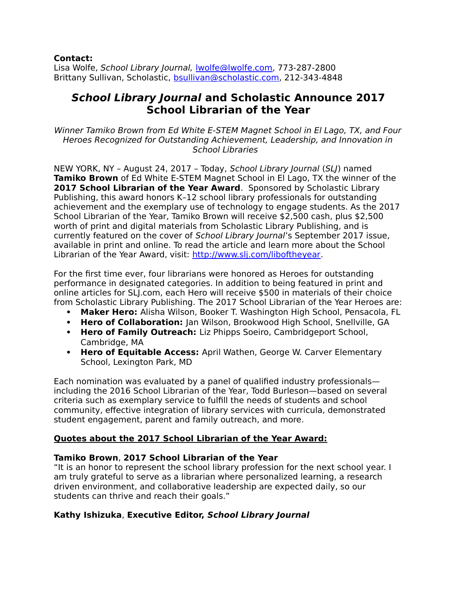#### **Contact:**

Lisa Wolfe, School Library Journal, [lwolfe@lwolfe.com,](file:///%5C%5CSchnyshare1%5Ccorporatecom%5CSLP%5CSLJ%20School%20Librarian%20of%20the%20Year%5C2017%5CPress%20Release%5Clwolfe@lwolfe.com) 773-287-2800 Brittany Sullivan, Scholastic, [bsullivan@scholastic.com,](mailto:bsullivan@scholastic.com) 212-343-4848

# **School Library Journal and Scholastic Announce 2017 School Librarian of the Year**

Winner Tamiko Brown from Ed White E-STEM Magnet School in El Lago, TX, and Four Heroes Recognized for Outstanding Achievement, Leadership, and Innovation in School Libraries

NEW YORK, NY – August 24, 2017 – Today, School Library Journal (SLJ) named **Tamiko Brown** of Ed White E-STEM Magnet School in El Lago, TX the winner of the **2017 School Librarian of the Year Award**. Sponsored by Scholastic Library Publishing, this award honors K–12 school library professionals for outstanding achievement and the exemplary use of technology to engage students. As the 2017 School Librarian of the Year, Tamiko Brown will receive \$2,500 cash, plus \$2,500 worth of print and digital materials from Scholastic Library Publishing, and is currently featured on the cover of School Library Journal's September 2017 issue, available in print and online. To read the article and learn more about the School Librarian of the Year Award, visit: [http://www.slj.com/liboftheyear.](http://www.slj.com/liboftheyear)

For the first time ever, four librarians were honored as Heroes for outstanding performance in designated categories. In addition to being featured in print and online articles for SLJ.com, each Hero will receive \$500 in materials of their choice from Scholastic Library Publishing. The 2017 School Librarian of the Year Heroes are:

- **Maker Hero:** Alisha Wilson, Booker T. Washington High School, Pensacola, FL
- **Hero of Collaboration:** Jan Wilson, Brookwood High School, Snellville, GA
- **Hero of Family Outreach:** Liz Phipps Soeiro, Cambridgeport School, Cambridge, MA
- **Hero of Equitable Access:** April Wathen, George W. Carver Elementary School, Lexington Park, MD

Each nomination was evaluated by a panel of qualified industry professionals including the 2016 School Librarian of the Year, Todd Burleson—based on several criteria such as exemplary service to fulfill the needs of students and school community, effective integration of library services with curricula, demonstrated student engagement, parent and family outreach, and more.

# **Quotes about the 2017 School Librarian of the Year Award:**

# **Tamiko Brown**, **2017 School Librarian of the Year**

"It is an honor to represent the school library profession for the next school year. I am truly grateful to serve as a librarian where personalized learning, a research driven environment, and collaborative leadership are expected daily, so our students can thrive and reach their goals."

# **Kathy Ishizuka**, **Executive Editor, School Library Journal**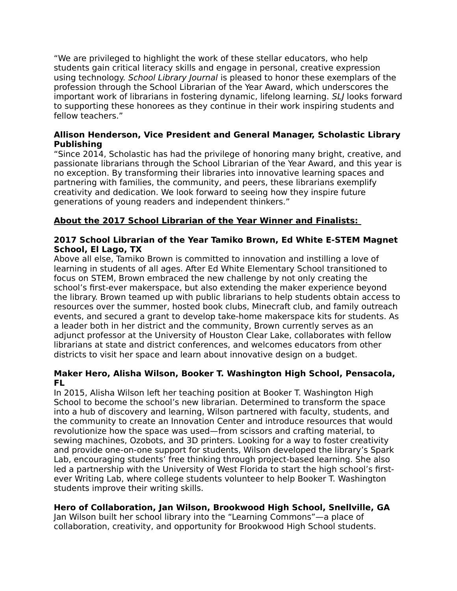"We are privileged to highlight the work of these stellar educators, who help students gain critical literacy skills and engage in personal, creative expression using technology. School Library Journal is pleased to honor these exemplars of the profession through the School Librarian of the Year Award, which underscores the important work of librarians in fostering dynamic, lifelong learning. SLJ looks forward to supporting these honorees as they continue in their work inspiring students and fellow teachers."

#### **Allison Henderson, Vice President and General Manager, Scholastic Library Publishing**

"Since 2014, Scholastic has had the privilege of honoring many bright, creative, and passionate librarians through the School Librarian of the Year Award, and this year is no exception. By transforming their libraries into innovative learning spaces and partnering with families, the community, and peers, these librarians exemplify creativity and dedication. We look forward to seeing how they inspire future generations of young readers and independent thinkers."

# **About the 2017 School Librarian of the Year Winner and Finalists:**

#### **2017 School Librarian of the Year Tamiko Brown, Ed White E-STEM Magnet School, El Lago, TX**

Above all else, Tamiko Brown is committed to innovation and instilling a love of learning in students of all ages. After Ed White Elementary School transitioned to focus on STEM, Brown embraced the new challenge by not only creating the school's first-ever makerspace, but also extending the maker experience beyond the library. Brown teamed up with public librarians to help students obtain access to resources over the summer, hosted book clubs, Minecraft club, and family outreach events, and secured a grant to develop take-home makerspace kits for students. As a leader both in her district and the community, Brown currently serves as an adjunct professor at the University of Houston Clear Lake, collaborates with fellow librarians at state and district conferences, and welcomes educators from other districts to visit her space and learn about innovative design on a budget.

#### **Maker Hero, Alisha Wilson, Booker T. Washington High School, Pensacola, FL**

In 2015, Alisha Wilson left her teaching position at Booker T. Washington High School to become the school's new librarian. Determined to transform the space into a hub of discovery and learning, Wilson partnered with faculty, students, and the community to create an Innovation Center and introduce resources that would revolutionize how the space was used—from scissors and crafting material, to sewing machines, Ozobots, and 3D printers. Looking for a way to foster creativity and provide one-on-one support for students, Wilson developed the library's Spark Lab, encouraging students' free thinking through project-based learning. She also led a partnership with the University of West Florida to start the high school's firstever Writing Lab, where college students volunteer to help Booker T. Washington students improve their writing skills.

# **Hero of Collaboration, Jan Wilson, Brookwood High School, Snellville, GA**

Jan Wilson built her school library into the "Learning Commons"—a place of collaboration, creativity, and opportunity for Brookwood High School students.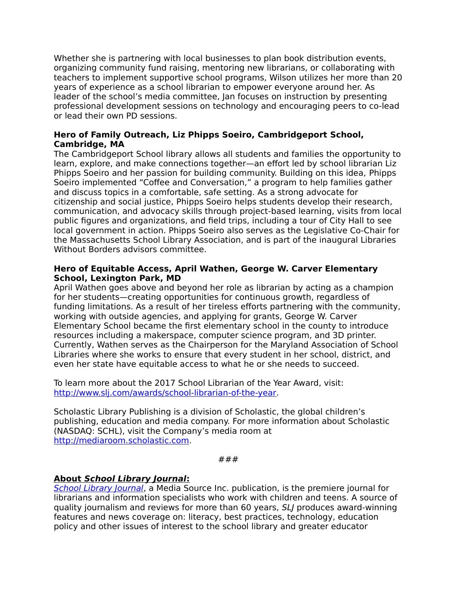Whether she is partnering with local businesses to plan book distribution events, organizing community fund raising, mentoring new librarians, or collaborating with teachers to implement supportive school programs, Wilson utilizes her more than 20 years of experience as a school librarian to empower everyone around her. As leader of the school's media committee, Jan focuses on instruction by presenting professional development sessions on technology and encouraging peers to co-lead or lead their own PD sessions.

#### **Hero of Family Outreach, Liz Phipps Soeiro, Cambridgeport School, Cambridge, MA**

The Cambridgeport School library allows all students and families the opportunity to learn, explore, and make connections together—an effort led by school librarian Liz Phipps Soeiro and her passion for building community. Building on this idea, Phipps Soeiro implemented "Coffee and Conversation," a program to help families gather and discuss topics in a comfortable, safe setting. As a strong advocate for citizenship and social justice, Phipps Soeiro helps students develop their research, communication, and advocacy skills through project-based learning, visits from local public figures and organizations, and field trips, including a tour of City Hall to see local government in action. Phipps Soeiro also serves as the Legislative Co-Chair for the Massachusetts School Library Association, and is part of the inaugural Libraries Without Borders advisors committee.

#### **Hero of Equitable Access, April Wathen, George W. Carver Elementary School, Lexington Park, MD**

April Wathen goes above and beyond her role as librarian by acting as a champion for her students—creating opportunities for continuous growth, regardless of funding limitations. As a result of her tireless efforts partnering with the community, working with outside agencies, and applying for grants, George W. Carver Elementary School became the first elementary school in the county to introduce resources including a makerspace, computer science program, and 3D printer. Currently, Wathen serves as the Chairperson for the Maryland Association of School Libraries where she works to ensure that every student in her school, district, and even her state have equitable access to what he or she needs to succeed.

To learn more about the 2017 School Librarian of the Year Award, visit: [http://www.slj.com/awards/school-librarian-of-the-year.](http://www.slj.com/awards/school-librarian-of-the-year)

Scholastic Library Publishing is a division of Scholastic, the global children's publishing, education and media company. For more information about Scholastic (NASDAQ: SCHL), visit the Company's media room at [http://mediaroom.scholastic.com.](http://mediaroom.scholastic.com/)

```
###
```
# **About School Library Journal:**

[School Library Journal](http://www.slj.com/), a Media Source Inc. publication, is the premiere journal for librarians and information specialists who work with children and teens. A source of quality journalism and reviews for more than 60 years, SLJ produces award-winning features and news coverage on: literacy, best practices, technology, education policy and other issues of interest to the school library and greater educator